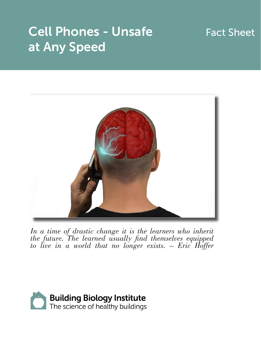## Cell Phones - Unsafe at Any Speed

## Fact Sheet



In a time of drastic change it is the learners who inherit *the future. The learned usually find themselves equipped to live in a world that no longer exists. – Eric Hoffer*

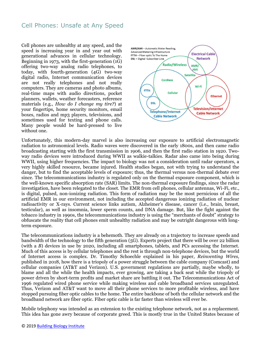## Cell Phones: Unsafe at Any Speed

Cell phones are unhealthy at any speed, and the speed is increasing year in and year out with generational advances in cellular technology. Beginning in 1973, with the first-generation (1G) offering two-way analog radio telephones, to today, with fourth-generation (4G) two-way digital radio, Internet communication devices are not really telephones and not really computers. They are cameras and photo albums, real-time maps with audio directions, pocket planners, wallets, weather forecasters, reference materials (e.g., *How do I change my tire?*) at your fingertips, home security monitors, email boxes, radios and mp3 players, televisions, and sometimes used for texting and phone calls. Many people would be hard-pressed to live without one.



Unfortunately, this modern-day marvel is also increasing our exposure to artificial electromagnetic radiation to astronomical levels. Radio waves were discovered in the early 1800s, and then came radio broadcasting starting with the first transmission in 1906, and then the first radio station in 1920. Twoway radio devices were introduced during WWII as walkie-talkies. Radar also came into being during WWII, using higher frequencies. The impact to biology was not a consideration until radar operators, a very highly skilled resource, became injured. Health studies began, not with trying to understand the danger, but to find the acceptable levels of exposure; thus, the thermal versus non-thermal debate ever since. The telecommunications industry is regulated only on the thermal exposure component, which is the well-known specific absorption rate (SAR) limits. The non-thermal exposure findings, since the radar investigation, have been relegated to the closet. The EMR from cell phones, cellular antennas, Wi-Fi, etc., is digital, pulsed, non-ionizing radiation. This form of radiation may be the most pernicious of all the artificial EMR in our environment, not including the accepted dangerous ionizing radiation of nuclear radioactivity or X-rays. Current science links autism, Alzheimer's disease, cancer (i.e., brain, breast, testicular), as well as insomnia, lower sperm counts, and DNA damage. But, like the fight against the tobacco industry in 1990s, the telecommunications industry is using the "merchants of doubt" strategy to obfuscate the reality that cell phones emit unhealthy radiation and may be outright dangerous with longterm exposure.

The telecommunications industry is a behemoth. They are already on a trajectory to increase speeds and bandwidth of the technology to the fifth generation (5G). Experts project that there will be over 22 billion (with a *B*) devices in use by 2020, including all smartphones, tablets, and PCs accessing the Internet. Much of this access is by cellular telephones and the rest is through non-telephone devices, but the world of Internet access is complex. Dr. Timothy Schoechle explained in his paper, *Reinventing Wires,* published in 2018, how there is a triopoly of a power struggle between the cable company (Comcast) and cellular companies (AT&T and Verizon). U.S. government regulations are partially, maybe wholly, to blame and all the while the health impacts, ever growing, are taking a back seat while the triopoly of power driven by short-term profits and market share are battling it out. The Telecommunications Act of 1996 regulated wired phone service while making wireless and cable broadband services unregulated. Thus, Verizon and AT&T want to move all their phone services to more profitable wireless, and have stopped pursuing fiber optic cables to the home. The entire backbone of both the cellular network and the broadband network are fiber optic. Fiber optic cable is far faster than wireless will ever be.

Mobile telephony was intended as an extension to the existing telephone network, not as a replacement. This idea has gone awry because of corporate greed. This is mostly true in the United States because of